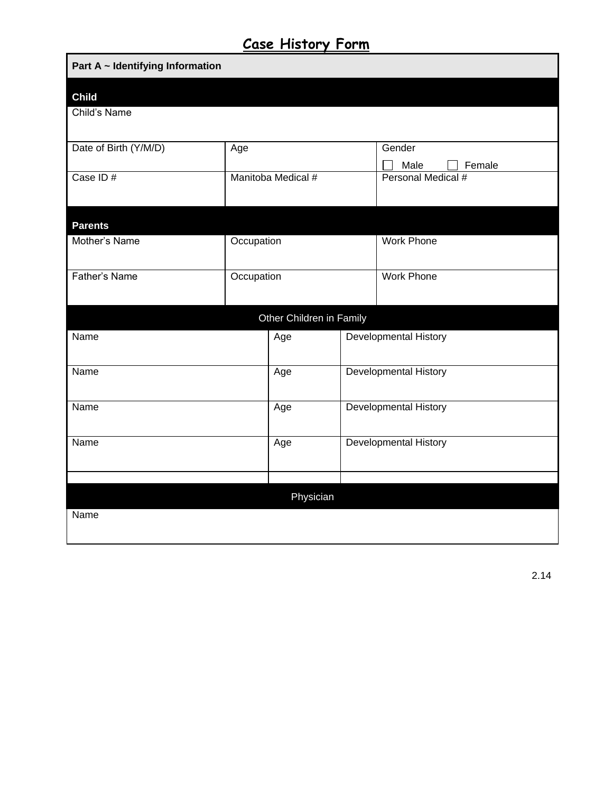## **Case History Form**

| Part A ~ Identifying Information |            |                          |  |                              |  |
|----------------------------------|------------|--------------------------|--|------------------------------|--|
| <b>Child</b>                     |            |                          |  |                              |  |
| Child's Name                     |            |                          |  |                              |  |
| Date of Birth (Y/M/D)            | Age        |                          |  | Gender                       |  |
|                                  |            |                          |  | Male<br>Female               |  |
| Case ID#                         |            | Manitoba Medical #       |  | Personal Medical #           |  |
|                                  |            |                          |  |                              |  |
| <b>Parents</b>                   |            |                          |  |                              |  |
| Mother's Name                    | Occupation |                          |  | <b>Work Phone</b>            |  |
| Father's Name                    |            |                          |  | <b>Work Phone</b>            |  |
|                                  | Occupation |                          |  |                              |  |
|                                  |            | Other Children in Family |  |                              |  |
| Name                             |            | Age                      |  | Developmental History        |  |
|                                  |            |                          |  |                              |  |
| Name                             |            | Age                      |  | <b>Developmental History</b> |  |
|                                  |            |                          |  |                              |  |
| Name                             |            | Age                      |  | <b>Developmental History</b> |  |
| Name                             |            | Age                      |  | Developmental History        |  |
|                                  |            |                          |  |                              |  |
|                                  |            |                          |  |                              |  |
|                                  |            | Physician                |  |                              |  |
| Name                             |            |                          |  |                              |  |
|                                  |            |                          |  |                              |  |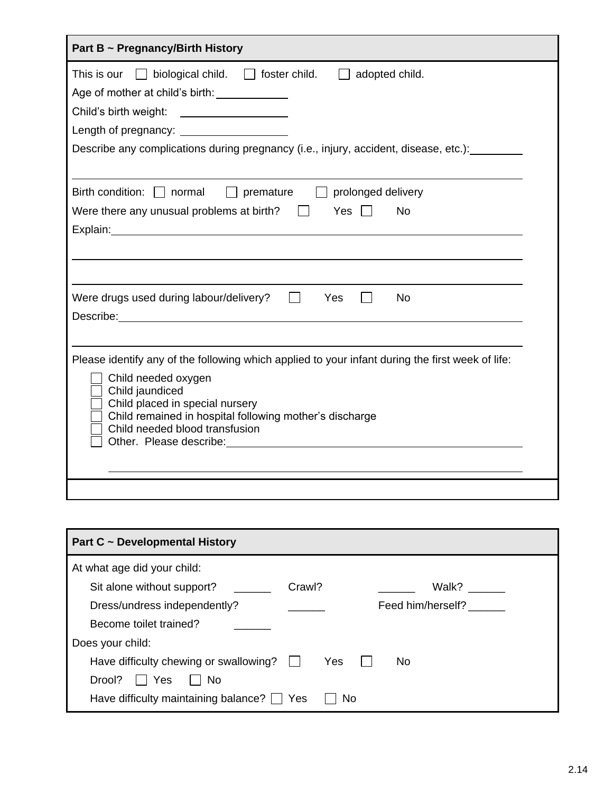| Part B ~ Pregnancy/Birth History                                                                                                                                                                                                                                                                   |  |  |  |
|----------------------------------------------------------------------------------------------------------------------------------------------------------------------------------------------------------------------------------------------------------------------------------------------------|--|--|--|
| This is our $\Box$ biological child. $\Box$ foster child.<br>adopted child.<br>Age of mother at child's birth: _______________<br>Child's birth weight:<br>Describe any complications during pregnancy (i.e., injury, accident, disease, etc.):                                                    |  |  |  |
| Birth condition: $\Box$ normal<br>$\Box$ premature<br>$\Box$ prolonged delivery                                                                                                                                                                                                                    |  |  |  |
| Were there any unusual problems at birth?<br>Yes<br><b>No</b>                                                                                                                                                                                                                                      |  |  |  |
| Were drugs used during labour/delivery?<br>Yes<br><b>No</b><br>Describe: <u>Describe</u> and the contract of the contract of the contract of the contract of the contract of the contract of the contract of the contract of the contract of the contract of the contract of the contract of the c |  |  |  |
| Please identify any of the following which applied to your infant during the first week of life:<br>Child needed oxygen<br>Child jaundiced<br>Child placed in special nursery<br>Child remained in hospital following mother's discharge<br>Child needed blood transfusion                         |  |  |  |
|                                                                                                                                                                                                                                                                                                    |  |  |  |

| Part C ~ Developmental History                  |        |                   |  |  |
|-------------------------------------------------|--------|-------------------|--|--|
| At what age did your child:                     |        |                   |  |  |
| Sit alone without support?                      | Crawl? | Walk?             |  |  |
| Dress/undress independently?                    |        | Feed him/herself? |  |  |
| Become toilet trained?                          |        |                   |  |  |
| Does your child:                                |        |                   |  |  |
| Have difficulty chewing or swallowing?          | Yes    | No.               |  |  |
| Drool?<br>No<br>Yes                             |        |                   |  |  |
| Have difficulty maintaining balance? $\Box$ Yes | No     |                   |  |  |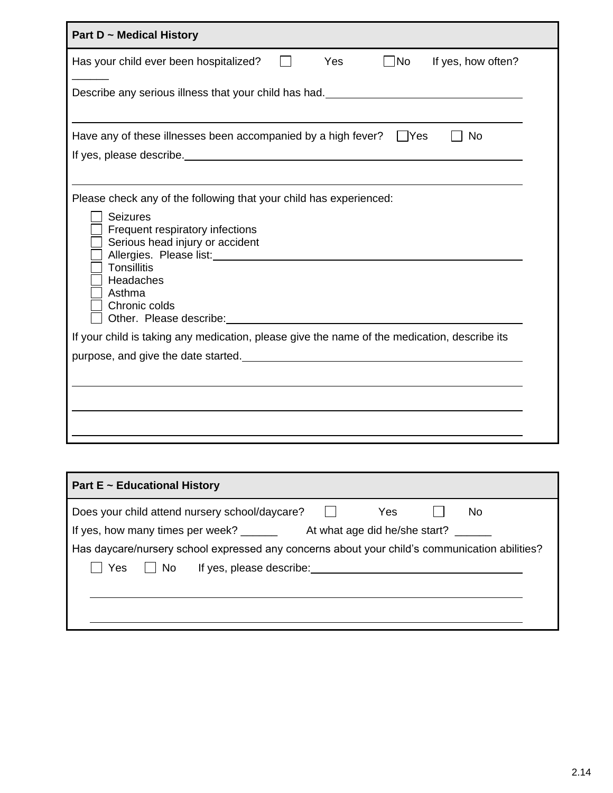| Part D ~ Medical History                                                                                                                                                                                                                                                                                                                                                                                                                       |
|------------------------------------------------------------------------------------------------------------------------------------------------------------------------------------------------------------------------------------------------------------------------------------------------------------------------------------------------------------------------------------------------------------------------------------------------|
| Has your child ever been hospitalized?<br>Yes<br>  No<br>If yes, how often?                                                                                                                                                                                                                                                                                                                                                                    |
| Describe any serious illness that your child has had. __________________________                                                                                                                                                                                                                                                                                                                                                               |
| Have any of these illnesses been accompanied by a high fever?<br>  Yes<br><b>No</b><br>If yes, please describe. The same state of the state of the state of the state of the state of the state of the state of the state of the state of the state of the state of the state of the state of the state of the state                                                                                                                           |
| Please check any of the following that your child has experienced:                                                                                                                                                                                                                                                                                                                                                                             |
| <b>Seizures</b><br>Frequent respiratory infections<br>Serious head injury or accident<br>Allergies. Please list: Manual Allergies. Please list:<br><b>Tonsillitis</b><br>Headaches<br>Asthma<br>Chronic colds<br>Other. Please describe: example and the state of the state of the state of the state of the state of the state of the state of the state of the state of the state of the state of the state of the state of the state of the |
| If your child is taking any medication, please give the name of the medication, describe its                                                                                                                                                                                                                                                                                                                                                   |
| purpose, and give the date started.                                                                                                                                                                                                                                                                                                                                                                                                            |
|                                                                                                                                                                                                                                                                                                                                                                                                                                                |

| <b>Part E ~ Educational History</b>                                                           |
|-----------------------------------------------------------------------------------------------|
| Does your child attend nursery school/daycare?<br>Yes<br>No                                   |
| If yes, how many times per week? _________ At what age did he/she start?                      |
| Has daycare/nursery school expressed any concerns about your child's communication abilities? |
| Yes     No                                                                                    |
|                                                                                               |
|                                                                                               |
|                                                                                               |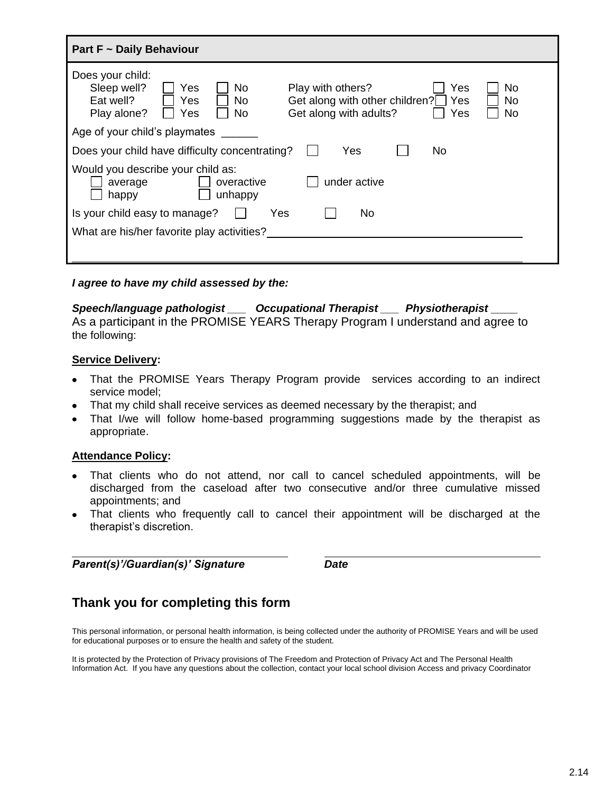| Part F ~ Daily Behaviour                                                                                                                                                                                                                 |  |  |  |  |  |
|------------------------------------------------------------------------------------------------------------------------------------------------------------------------------------------------------------------------------------------|--|--|--|--|--|
| Does your child:<br>Sleep well?<br>Play with others?<br>No<br>No<br>Yes<br>Yes<br>Get along with other children?<br>Yes<br>Eat well?<br><b>No</b><br>No<br>Yes<br>Get along with adults?<br>Yes<br><b>No</b><br>No<br>Play alone?<br>Yes |  |  |  |  |  |
| Age of your child's playmates                                                                                                                                                                                                            |  |  |  |  |  |
| Does your child have difficulty concentrating?<br>Yes<br>No                                                                                                                                                                              |  |  |  |  |  |
| Would you describe your child as:<br>under active<br>overactive<br>average<br>unhappy<br>happy                                                                                                                                           |  |  |  |  |  |
| Is your child easy to manage?<br>Yes<br>No.                                                                                                                                                                                              |  |  |  |  |  |
| What are his/her favorite play activities?                                                                                                                                                                                               |  |  |  |  |  |
|                                                                                                                                                                                                                                          |  |  |  |  |  |

*I agree to have my child assessed by the:*

# *Speech/language pathologist \_\_\_ Occupational Therapist \_\_\_ Physiotherapist \_\_\_\_*

As a participant in the PROMISE YEARS Therapy Program I understand and agree to the following:

#### **Service Delivery:**

- That the PROMISE Years Therapy Program provide services according to an indirect service model;
- That my child shall receive services as deemed necessary by the therapist; and
- That I/we will follow home-based programming suggestions made by the therapist as appropriate.

#### **Attendance Policy:**

- That clients who do not attend, nor call to cancel scheduled appointments, will be discharged from the caseload after two consecutive and/or three cumulative missed appointments; and
- That clients who frequently call to cancel their appointment will be discharged at the therapist's discretion.

*Parent(s)'/Guardian(s)' Signature Date*

### **Thank you for completing this form**

This personal information, or personal health information, is being collected under the authority of PROMISE Years and will be used for educational purposes or to ensure the health and safety of the student.

It is protected by the Protection of Privacy provisions of The Freedom and Protection of Privacy Act and The Personal Health Information Act. If you have any questions about the collection, contact your local school division Access and privacy Coordinator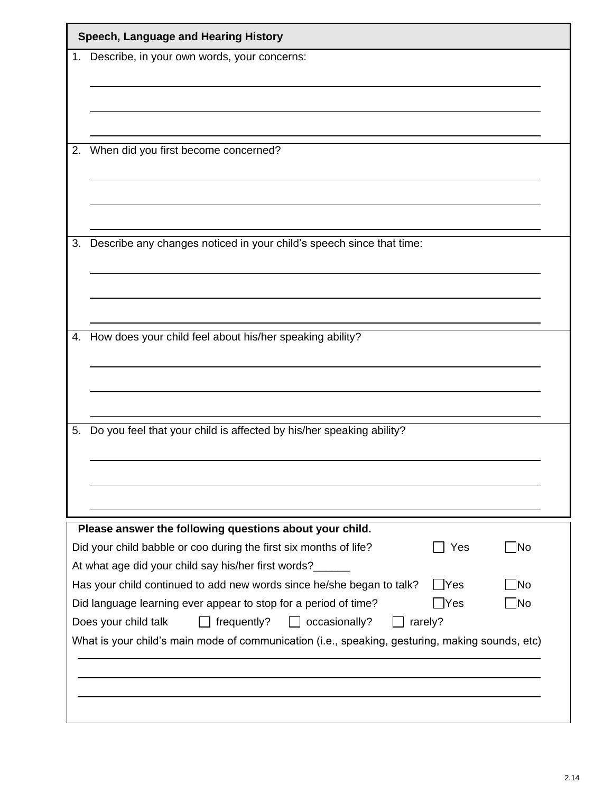| 1. Describe, in your own words, your concerns:                                                                           |         |    |
|--------------------------------------------------------------------------------------------------------------------------|---------|----|
|                                                                                                                          |         |    |
|                                                                                                                          |         |    |
|                                                                                                                          |         |    |
| When did you first become concerned?                                                                                     |         |    |
|                                                                                                                          |         |    |
|                                                                                                                          |         |    |
| Describe any changes noticed in your child's speech since that time:                                                     |         |    |
|                                                                                                                          |         |    |
|                                                                                                                          |         |    |
|                                                                                                                          |         |    |
| 4. How does your child feel about his/her speaking ability?                                                              |         |    |
|                                                                                                                          |         |    |
|                                                                                                                          |         |    |
| Do you feel that your child is affected by his/her speaking ability?                                                     |         |    |
|                                                                                                                          |         |    |
|                                                                                                                          |         |    |
|                                                                                                                          |         |    |
| Please answer the following questions about your child.                                                                  |         |    |
| Did your child babble or coo during the first six months of life?<br>At what age did your child say his/her first words? | Yes     | No |
| Has your child continued to add new words since he/she began to talk?                                                    | Yes     | No |
| Did language learning ever appear to stop for a period of time?                                                          | Yes     | No |
| Does your child talk<br>frequently?<br>occasionally?                                                                     | rarely? |    |
| What is your child's main mode of communication (i.e., speaking, gesturing, making sounds, etc)                          |         |    |
|                                                                                                                          |         |    |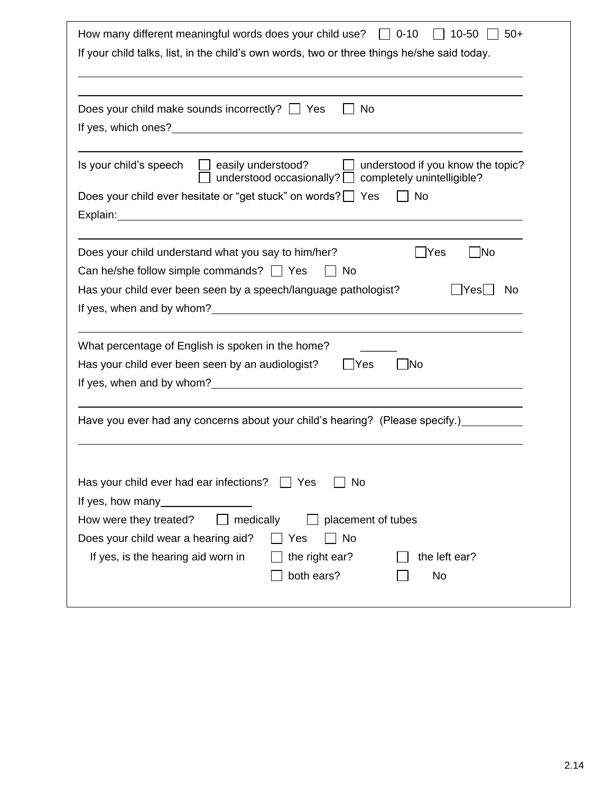| How many different meaningful words does your child use? $\Box$ 0-10<br>$10 - 50$<br>$50+$                                                                                                            |
|-------------------------------------------------------------------------------------------------------------------------------------------------------------------------------------------------------|
| If your child talks, list, in the child's own words, two or three things he/she said today.                                                                                                           |
|                                                                                                                                                                                                       |
| Does your child make sounds incorrectly? $\Box$ Yes<br><b>No</b>                                                                                                                                      |
|                                                                                                                                                                                                       |
| Is your child's speech<br>$\Box$ easily understood?<br>understood if you know the topic?<br>understood occasionally?   completely unintelligible?                                                     |
| Does your child ever hesitate or "get stuck" on words? Ses<br>No.                                                                                                                                     |
| Explain: explain:                                                                                                                                                                                     |
| Does your child understand what you say to him/her?<br>Yes<br> No<br>Can he/she follow simple commands? Some<br>No<br>Has your child ever been seen by a speech/language pathologist?<br> Yes <br>No. |
|                                                                                                                                                                                                       |
| What percentage of English is spoken in the home?                                                                                                                                                     |
| Has your child ever been seen by an audiologist?<br>  Yes<br><b>No</b>                                                                                                                                |
|                                                                                                                                                                                                       |
| Have you ever had any concerns about your child's hearing? (Please specify.) _________                                                                                                                |
|                                                                                                                                                                                                       |
| Has your child ever had ear infections?<br>No<br>Yes                                                                                                                                                  |
|                                                                                                                                                                                                       |
| medically<br>How were they treated?<br>placement of tubes                                                                                                                                             |
| Does your child wear a hearing aid?<br>No<br>Yes                                                                                                                                                      |
| If yes, is the hearing aid worn in<br>the right ear?<br>the left ear?                                                                                                                                 |
| both ears?<br>No                                                                                                                                                                                      |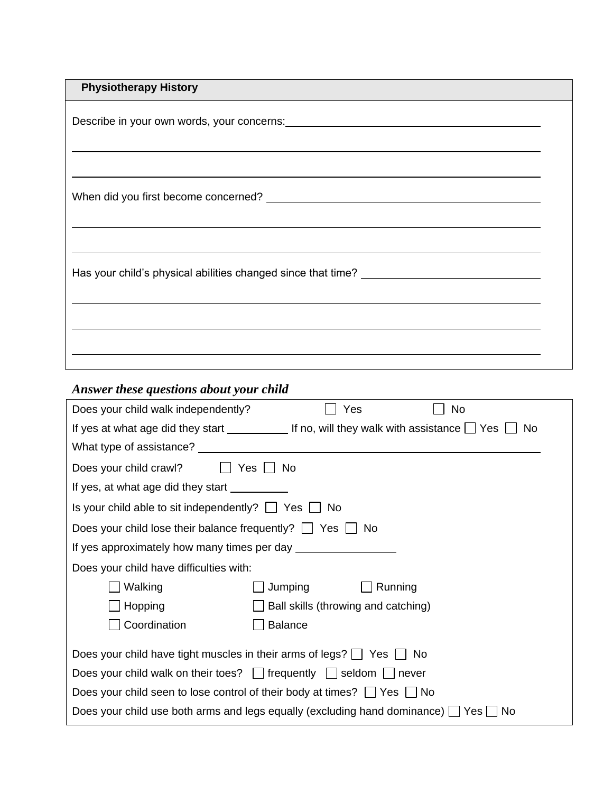| <b>Physiotherapy History</b>                                                     |  |
|----------------------------------------------------------------------------------|--|
| ,我们也不会有什么?""我们的人,我们也不会不会不会。""我们的人,我们也不会不会不会不会。""我们的人,我们也不会不会不会不会。""我们的人,我们也不会不会不 |  |
|                                                                                  |  |
|                                                                                  |  |
|                                                                                  |  |
| Has your child's physical abilities changed since that time? ___________________ |  |
|                                                                                  |  |
|                                                                                  |  |
|                                                                                  |  |

# *Answer these questions about your child*

| Does your child walk independently?                                                            | Yes<br>No.                                                                                                          |  |  |  |  |
|------------------------------------------------------------------------------------------------|---------------------------------------------------------------------------------------------------------------------|--|--|--|--|
|                                                                                                | If yes at what age did they start ___________________If no, will they walk with assistance $\Box$ Yes $\Box$<br>No. |  |  |  |  |
|                                                                                                |                                                                                                                     |  |  |  |  |
| Does your child crawl? $\Box$<br>Yes     No                                                    |                                                                                                                     |  |  |  |  |
| If yes, at what age did they start __________                                                  |                                                                                                                     |  |  |  |  |
| Is your child able to sit independently? $\Box$ Yes $\Box$ No                                  |                                                                                                                     |  |  |  |  |
| Does your child lose their balance frequently? $\Box$ Yes $\Box$ No                            |                                                                                                                     |  |  |  |  |
| If yes approximately how many times per day _________                                          |                                                                                                                     |  |  |  |  |
| Does your child have difficulties with:                                                        |                                                                                                                     |  |  |  |  |
| Walking                                                                                        | Jumping<br>Running                                                                                                  |  |  |  |  |
| Hopping                                                                                        | Ball skills (throwing and catching)                                                                                 |  |  |  |  |
| Coordination                                                                                   | <b>Balance</b>                                                                                                      |  |  |  |  |
| Does your child have tight muscles in their arms of legs? $\Box$ Yes $\Box$ No                 |                                                                                                                     |  |  |  |  |
| Does your child walk on their toes? $\Box$ frequently $\Box$ seldom $\Box$ never               |                                                                                                                     |  |  |  |  |
| Does your child seen to lose control of their body at times? $\Box$ Yes $\Box$ No              |                                                                                                                     |  |  |  |  |
| Does your child use both arms and legs equally (excluding hand dominance) $\Box$ Yes $\Box$ No |                                                                                                                     |  |  |  |  |